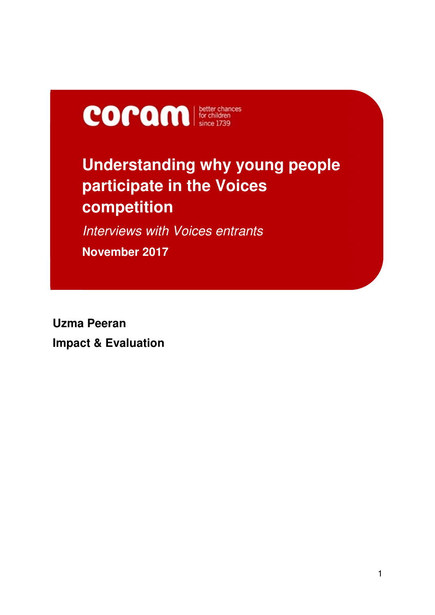

# **Understanding why young people participate in the Voices competition**

*Interviews with Voices entrants*  **November 2017**

**Uzma Peeran Impact & Evaluation**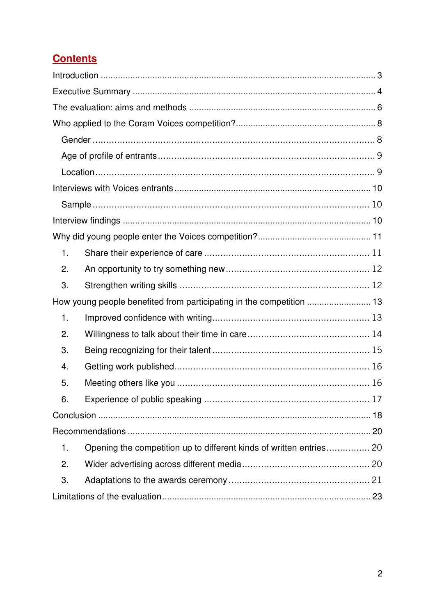# **Contents**

| 1.                                                                   |                                                                     |  |
|----------------------------------------------------------------------|---------------------------------------------------------------------|--|
| 2.                                                                   |                                                                     |  |
| 3.                                                                   |                                                                     |  |
| How young people benefited from participating in the competition  13 |                                                                     |  |
| 1.                                                                   |                                                                     |  |
| 2.                                                                   |                                                                     |  |
| 3.                                                                   |                                                                     |  |
| 4.                                                                   |                                                                     |  |
| 5.                                                                   |                                                                     |  |
| 6.                                                                   |                                                                     |  |
|                                                                      |                                                                     |  |
|                                                                      |                                                                     |  |
| 1.                                                                   | Opening the competition up to different kinds of written entries 20 |  |
| 2.                                                                   |                                                                     |  |
| 3.                                                                   |                                                                     |  |
|                                                                      |                                                                     |  |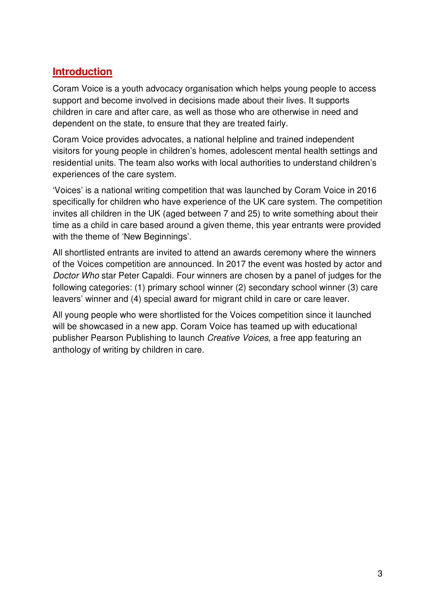# **Introduction**

Coram Voice is a youth advocacy organisation which helps young people to access support and become involved in decisions made about their lives. It supports children in care and after care, as well as those who are otherwise in need and dependent on the state, to ensure that they are treated fairly.

Coram Voice provides advocates, a national helpline and trained independent visitors for young people in children's homes, adolescent mental health settings and residential units. The team also works with local authorities to understand children's experiences of the care system.

'Voices' is a national writing competition that was launched by Coram Voice in 2016 specifically for children who have experience of the UK care system. The competition invites all children in the UK (aged between 7 and 25) to write something about their time as a child in care based around a given theme, this year entrants were provided with the theme of 'New Beginnings'.

All shortlisted entrants are invited to attend an awards ceremony where the winners of the Voices competition are announced. In 2017 the event was hosted by actor and *Doctor Who* star Peter Capaldi. Four winners are chosen by a panel of judges for the following categories: (1) primary school winner (2) secondary school winner (3) care leavers' winner and (4) special award for migrant child in care or care leaver.

All young people who were shortlisted for the Voices competition since it launched will be showcased in a new app. Coram Voice has teamed up with educational publisher Pearson Publishing to launch *Creative Voices,* a free app featuring an anthology of writing by children in care.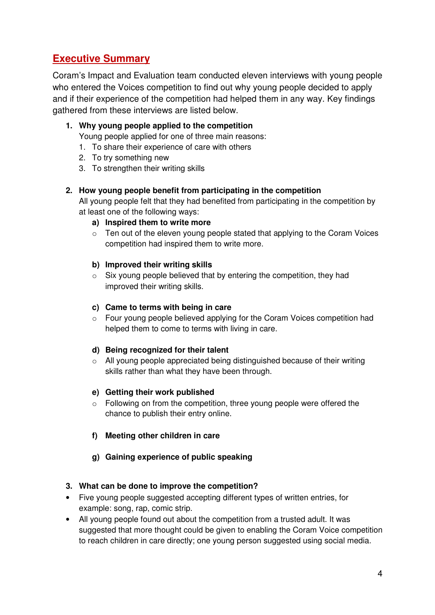# **Executive Summary**

Coram's Impact and Evaluation team conducted eleven interviews with young people who entered the Voices competition to find out why young people decided to apply and if their experience of the competition had helped them in any way. Key findings gathered from these interviews are listed below.

**1. Why young people applied to the competition** 

Young people applied for one of three main reasons:

- 1. To share their experience of care with others
- 2. To try something new
- 3. To strengthen their writing skills

#### **2. How young people benefit from participating in the competition**

All young people felt that they had benefited from participating in the competition by at least one of the following ways:

- **a) Inspired them to write more**
- $\circ$  Ten out of the eleven young people stated that applying to the Coram Voices competition had inspired them to write more.

#### **b) Improved their writing skills**

o Six young people believed that by entering the competition, they had improved their writing skills.

#### **c) Came to terms with being in care**

o Four young people believed applying for the Coram Voices competition had helped them to come to terms with living in care.

#### **d) Being recognized for their talent**

o All young people appreciated being distinguished because of their writing skills rather than what they have been through.

#### **e) Getting their work published**

- o Following on from the competition, three young people were offered the chance to publish their entry online.
- **f) Meeting other children in care**
- **g) Gaining experience of public speaking**

#### **3. What can be done to improve the competition?**

- Five young people suggested accepting different types of written entries, for example: song, rap, comic strip.
- All young people found out about the competition from a trusted adult. It was suggested that more thought could be given to enabling the Coram Voice competition to reach children in care directly; one young person suggested using social media.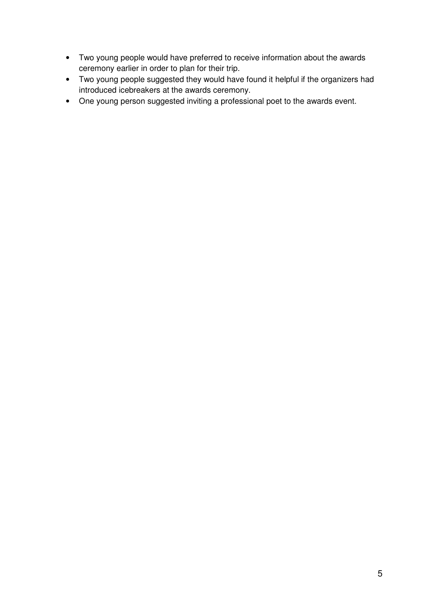- Two young people would have preferred to receive information about the awards ceremony earlier in order to plan for their trip.
- Two young people suggested they would have found it helpful if the organizers had introduced icebreakers at the awards ceremony.
- One young person suggested inviting a professional poet to the awards event.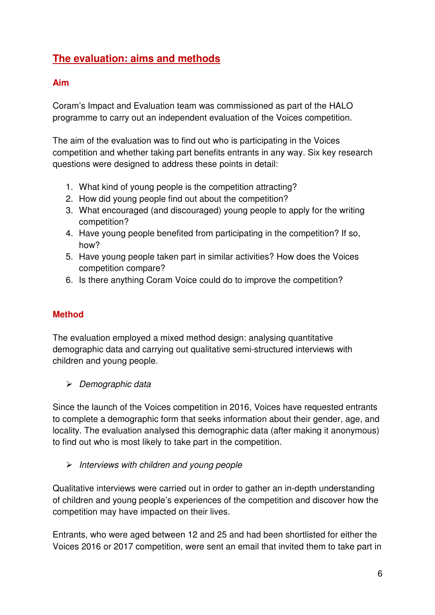# **The evaluation: aims and methods**

### **Aim**

Coram's Impact and Evaluation team was commissioned as part of the HALO programme to carry out an independent evaluation of the Voices competition.

The aim of the evaluation was to find out who is participating in the Voices competition and whether taking part benefits entrants in any way. Six key research questions were designed to address these points in detail:

- 1. What kind of young people is the competition attracting?
- 2. How did young people find out about the competition?
- 3. What encouraged (and discouraged) young people to apply for the writing competition?
- 4. Have young people benefited from participating in the competition? If so, how?
- 5. Have young people taken part in similar activities? How does the Voices competition compare?
- 6. Is there anything Coram Voice could do to improve the competition?

### **Method**

The evaluation employed a mixed method design: analysing quantitative demographic data and carrying out qualitative semi-structured interviews with children and young people.

*Demographic data* 

Since the launch of the Voices competition in 2016, Voices have requested entrants to complete a demographic form that seeks information about their gender, age, and locality. The evaluation analysed this demographic data (after making it anonymous) to find out who is most likely to take part in the competition.

*Interviews with children and young people* 

Qualitative interviews were carried out in order to gather an in-depth understanding of children and young people's experiences of the competition and discover how the competition may have impacted on their lives.

Entrants, who were aged between 12 and 25 and had been shortlisted for either the Voices 2016 or 2017 competition, were sent an email that invited them to take part in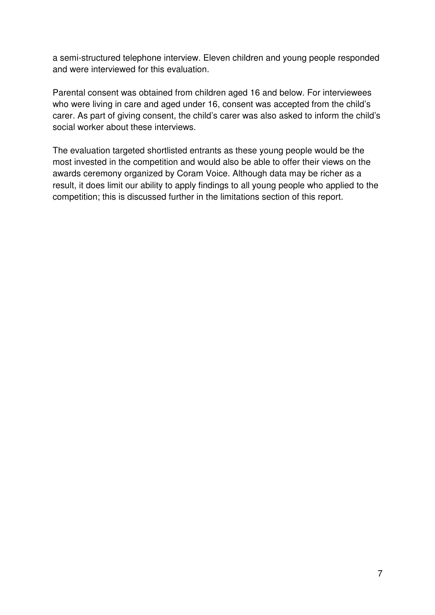a semi-structured telephone interview. Eleven children and young people responded and were interviewed for this evaluation.

Parental consent was obtained from children aged 16 and below. For interviewees who were living in care and aged under 16, consent was accepted from the child's carer. As part of giving consent, the child's carer was also asked to inform the child's social worker about these interviews.

The evaluation targeted shortlisted entrants as these young people would be the most invested in the competition and would also be able to offer their views on the awards ceremony organized by Coram Voice. Although data may be richer as a result, it does limit our ability to apply findings to all young people who applied to the competition; this is discussed further in the limitations section of this report.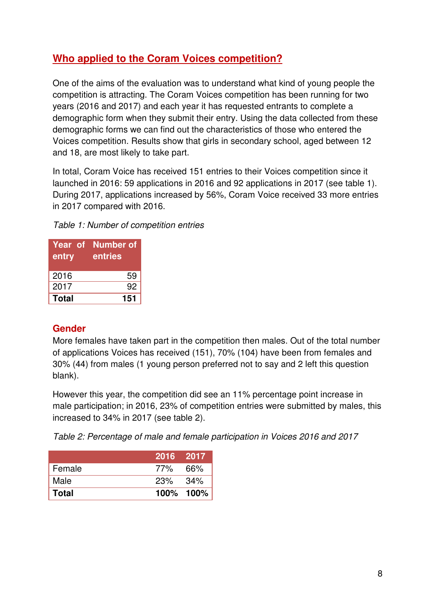# **Who applied to the Coram Voices competition?**

One of the aims of the evaluation was to understand what kind of young people the competition is attracting. The Coram Voices competition has been running for two years (2016 and 2017) and each year it has requested entrants to complete a demographic form when they submit their entry. Using the data collected from these demographic forms we can find out the characteristics of those who entered the Voices competition. Results show that girls in secondary school, aged between 12 and 18, are most likely to take part.

In total, Coram Voice has received 151 entries to their Voices competition since it launched in 2016: 59 applications in 2016 and 92 applications in 2017 (see table 1). During 2017, applications increased by 56%, Coram Voice received 33 more entries in 2017 compared with 2016.

| Table 1: Number of competition entries |
|----------------------------------------|
|----------------------------------------|

| entry | Year of Number of<br>entries |
|-------|------------------------------|
| 2016  | 59                           |
| 2017  | 92                           |
| Total | 151                          |

### **Gender**

More females have taken part in the competition then males. Out of the total number of applications Voices has received (151), 70% (104) have been from females and 30% (44) from males (1 young person preferred not to say and 2 left this question blank).

However this year, the competition did see an 11% percentage point increase in male participation; in 2016, 23% of competition entries were submitted by males, this increased to 34% in 2017 (see table 2).

*Table 2: Percentage of male and female participation in Voices 2016 and 2017* 

|              | 2016 2017  |           |
|--------------|------------|-----------|
| Female       | 77%        | .66%      |
| Male         | $23\%$ 34% |           |
| <b>Total</b> |            | 100% 100% |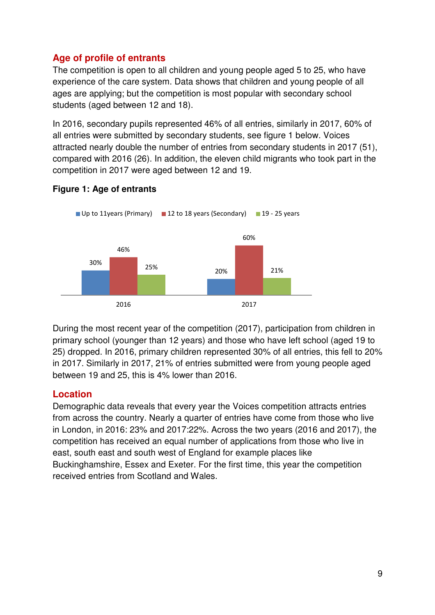# **Age of profile of entrants**

The competition is open to all children and young people aged 5 to 25, who have experience of the care system. Data shows that children and young people of all ages are applying; but the competition is most popular with secondary school students (aged between 12 and 18).

In 2016, secondary pupils represented 46% of all entries, similarly in 2017, 60% of all entries were submitted by secondary students, see figure 1 below. Voices attracted nearly double the number of entries from secondary students in 2017 (51), compared with 2016 (26). In addition, the eleven child migrants who took part in the competition in 2017 were aged between 12 and 19.



#### **Figure 1: Age of entrants**

During the most recent year of the competition (2017), participation from children in primary school (younger than 12 years) and those who have left school (aged 19 to 25) dropped. In 2016, primary children represented 30% of all entries, this fell to 20% in 2017. Similarly in 2017, 21% of entries submitted were from young people aged between 19 and 25, this is 4% lower than 2016.

# **Location**

Demographic data reveals that every year the Voices competition attracts entries from across the country. Nearly a quarter of entries have come from those who live in London, in 2016: 23% and 2017:22%. Across the two years (2016 and 2017), the competition has received an equal number of applications from those who live in east, south east and south west of England for example places like Buckinghamshire, Essex and Exeter. For the first time, this year the competition received entries from Scotland and Wales.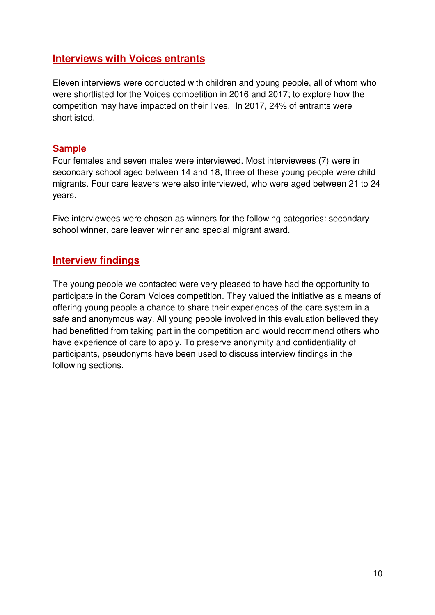# **Interviews with Voices entrants**

Eleven interviews were conducted with children and young people, all of whom who were shortlisted for the Voices competition in 2016 and 2017; to explore how the competition may have impacted on their lives. In 2017, 24% of entrants were shortlisted.

### **Sample**

Four females and seven males were interviewed. Most interviewees (7) were in secondary school aged between 14 and 18, three of these young people were child migrants. Four care leavers were also interviewed, who were aged between 21 to 24 years.

Five interviewees were chosen as winners for the following categories: secondary school winner, care leaver winner and special migrant award.

# **Interview findings**

The young people we contacted were very pleased to have had the opportunity to participate in the Coram Voices competition. They valued the initiative as a means of offering young people a chance to share their experiences of the care system in a safe and anonymous way. All young people involved in this evaluation believed they had benefitted from taking part in the competition and would recommend others who have experience of care to apply. To preserve anonymity and confidentiality of participants, pseudonyms have been used to discuss interview findings in the following sections.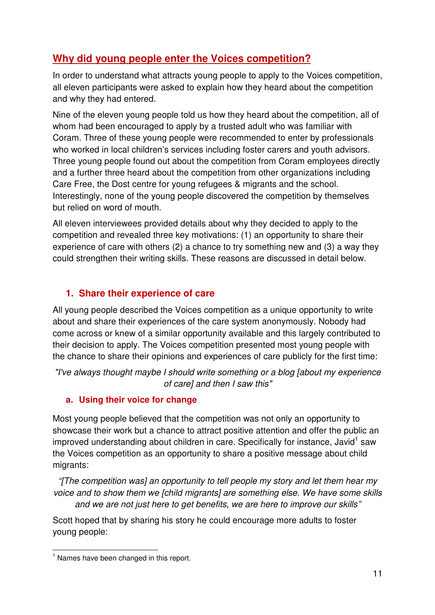# **Why did young people enter the Voices competition?**

In order to understand what attracts young people to apply to the Voices competition, all eleven participants were asked to explain how they heard about the competition and why they had entered.

Nine of the eleven young people told us how they heard about the competition, all of whom had been encouraged to apply by a trusted adult who was familiar with Coram. Three of these young people were recommended to enter by professionals who worked in local children's services including foster carers and youth advisors. Three young people found out about the competition from Coram employees directly and a further three heard about the competition from other organizations including Care Free, the Dost centre for young refugees & migrants and the school. Interestingly, none of the young people discovered the competition by themselves but relied on word of mouth.

All eleven interviewees provided details about why they decided to apply to the competition and revealed three key motivations: (1) an opportunity to share their experience of care with others (2) a chance to try something new and (3) a way they could strengthen their writing skills. These reasons are discussed in detail below.

# **1. Share their experience of care**

All young people described the Voices competition as a unique opportunity to write about and share their experiences of the care system anonymously. Nobody had come across or knew of a similar opportunity available and this largely contributed to their decision to apply. The Voices competition presented most young people with the chance to share their opinions and experiences of care publicly for the first time:

*"I've always thought maybe I should write something or a blog [about my experience of care] and then I saw this"* 

### **a. Using their voice for change**

Most young people believed that the competition was not only an opportunity to showcase their work but a chance to attract positive attention and offer the public an improved understanding about children in care. Specifically for instance, Javid<sup>1</sup> saw the Voices competition as an opportunity to share a positive message about child migrants:

*"[The competition was] an opportunity to tell people my story and let them hear my voice and to show them we [child migrants] are something else. We have some skills and we are not just here to get benefits, we are here to improve our skills"* 

Scott hoped that by sharing his story he could encourage more adults to foster young people:

 $<sup>1</sup>$  Names have been changed in this report.</sup>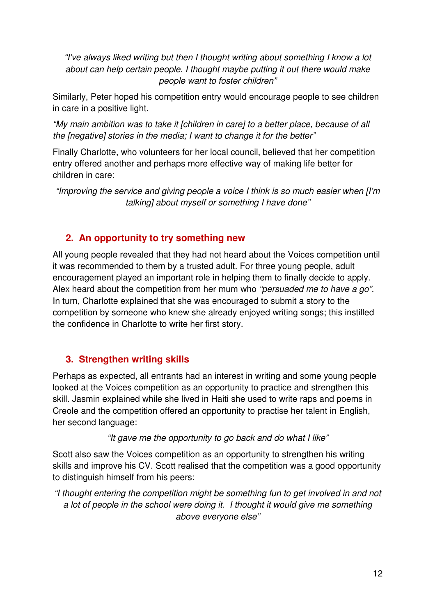*"I've always liked writing but then I thought writing about something I know a lot about can help certain people. I thought maybe putting it out there would make people want to foster children"* 

Similarly, Peter hoped his competition entry would encourage people to see children in care in a positive light.

*"My main ambition was to take it [children in care] to a better place, because of all the [negative] stories in the media; I want to change it for the better"* 

Finally Charlotte, who volunteers for her local council, believed that her competition entry offered another and perhaps more effective way of making life better for children in care:

*"Improving the service and giving people a voice I think is so much easier when [I'm talking] about myself or something I have done"* 

# **2. An opportunity to try something new**

All young people revealed that they had not heard about the Voices competition until it was recommended to them by a trusted adult. For three young people, adult encouragement played an important role in helping them to finally decide to apply. Alex heard about the competition from her mum who *"persuaded me to have a go"*. In turn, Charlotte explained that she was encouraged to submit a story to the competition by someone who knew she already enjoyed writing songs; this instilled the confidence in Charlotte to write her first story.

# **3. Strengthen writing skills**

Perhaps as expected, all entrants had an interest in writing and some young people looked at the Voices competition as an opportunity to practice and strengthen this skill. Jasmin explained while she lived in Haiti she used to write raps and poems in Creole and the competition offered an opportunity to practise her talent in English, her second language:

#### *"It gave me the opportunity to go back and do what I like"*

Scott also saw the Voices competition as an opportunity to strengthen his writing skills and improve his CV. Scott realised that the competition was a good opportunity to distinguish himself from his peers:

*"I thought entering the competition might be something fun to get involved in and not*  a lot of people in the school were doing it. I thought it would give me something *above everyone else"*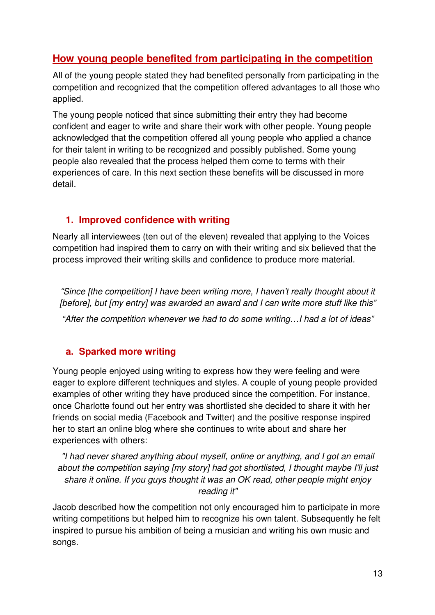# **How young people benefited from participating in the competition**

All of the young people stated they had benefited personally from participating in the competition and recognized that the competition offered advantages to all those who applied.

The young people noticed that since submitting their entry they had become confident and eager to write and share their work with other people. Young people acknowledged that the competition offered all young people who applied a chance for their talent in writing to be recognized and possibly published. Some young people also revealed that the process helped them come to terms with their experiences of care. In this next section these benefits will be discussed in more detail.

### **1. Improved confidence with writing**

Nearly all interviewees (ten out of the eleven) revealed that applying to the Voices competition had inspired them to carry on with their writing and six believed that the process improved their writing skills and confidence to produce more material.

*"Since [the competition] I have been writing more, I haven't really thought about it [before], but [my entry] was awarded an award and I can write more stuff like this"* 

*"After the competition whenever we had to do some writing…I had a lot of ideas"* 

# **a. Sparked more writing**

Young people enjoyed using writing to express how they were feeling and were eager to explore different techniques and styles. A couple of young people provided examples of other writing they have produced since the competition. For instance, once Charlotte found out her entry was shortlisted she decided to share it with her friends on social media (Facebook and Twitter) and the positive response inspired her to start an online blog where she continues to write about and share her experiences with others:

*"I had never shared anything about myself, online or anything, and I got an email about the competition saying [my story] had got shortlisted, I thought maybe I'll just share it online. If you guys thought it was an OK read, other people might enjoy reading it"* 

Jacob described how the competition not only encouraged him to participate in more writing competitions but helped him to recognize his own talent. Subsequently he felt inspired to pursue his ambition of being a musician and writing his own music and songs.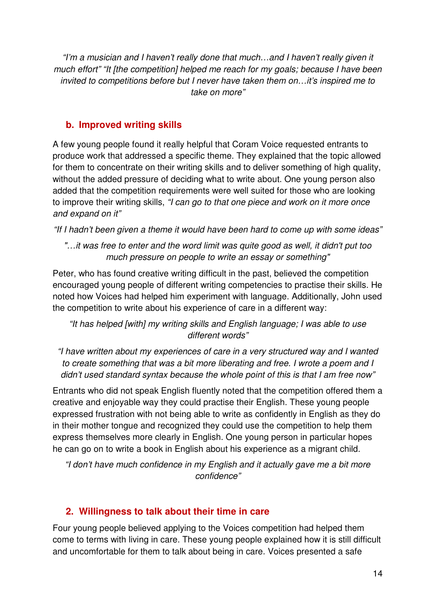*"I'm a musician and I haven't really done that much…and I haven't really given it much effort" "It [the competition] helped me reach for my goals; because I have been invited to competitions before but I never have taken them on…it's inspired me to take on more"* 

# **b. Improved writing skills**

A few young people found it really helpful that Coram Voice requested entrants to produce work that addressed a specific theme. They explained that the topic allowed for them to concentrate on their writing skills and to deliver something of high quality, without the added pressure of deciding what to write about. One young person also added that the competition requirements were well suited for those who are looking to improve their writing skills, *"I can go to that one piece and work on it more once and expand on it"* 

*"If I hadn't been given a theme it would have been hard to come up with some ideas"* 

*"…it was free to enter and the word limit was quite good as well, it didn't put too much pressure on people to write an essay or something"* 

Peter, who has found creative writing difficult in the past, believed the competition encouraged young people of different writing competencies to practise their skills. He noted how Voices had helped him experiment with language. Additionally, John used the competition to write about his experience of care in a different way:

*"It has helped [with] my writing skills and English language; I was able to use different words"* 

*"I have written about my experiences of care in a very structured way and I wanted to create something that was a bit more liberating and free. I wrote a poem and I didn't used standard syntax because the whole point of this is that I am free now"* 

Entrants who did not speak English fluently noted that the competition offered them a creative and enjoyable way they could practise their English. These young people expressed frustration with not being able to write as confidently in English as they do in their mother tongue and recognized they could use the competition to help them express themselves more clearly in English. One young person in particular hopes he can go on to write a book in English about his experience as a migrant child.

*"I don't have much confidence in my English and it actually gave me a bit more confidence"* 

# **2. Willingness to talk about their time in care**

Four young people believed applying to the Voices competition had helped them come to terms with living in care. These young people explained how it is still difficult and uncomfortable for them to talk about being in care. Voices presented a safe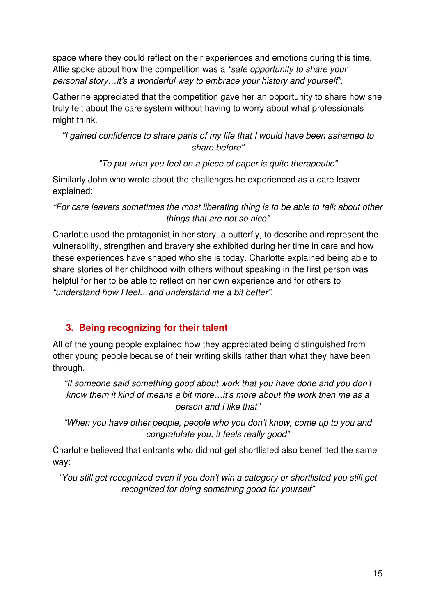space where they could reflect on their experiences and emotions during this time. Allie spoke about how the competition was a *"safe opportunity to share your personal story…it's a wonderful way to embrace your history and yourself"*.

Catherine appreciated that the competition gave her an opportunity to share how she truly felt about the care system without having to worry about what professionals might think.

*"I gained confidence to share parts of my life that I would have been ashamed to share before"* 

*"To put what you feel on a piece of paper is quite therapeutic"* 

Similarly John who wrote about the challenges he experienced as a care leaver explained:

*"For care leavers sometimes the most liberating thing is to be able to talk about other things that are not so nice"* 

Charlotte used the protagonist in her story, a butterfly, to describe and represent the vulnerability, strengthen and bravery she exhibited during her time in care and how these experiences have shaped who she is today. Charlotte explained being able to share stories of her childhood with others without speaking in the first person was helpful for her to be able to reflect on her own experience and for others to *"understand how I feel…and understand me a bit better"*.

# **3. Being recognizing for their talent**

All of the young people explained how they appreciated being distinguished from other young people because of their writing skills rather than what they have been through.

*"If someone said something good about work that you have done and you don't know them it kind of means a bit more…it's more about the work then me as a person and I like that"* 

*"When you have other people, people who you don't know, come up to you and congratulate you, it feels really good"* 

Charlotte believed that entrants who did not get shortlisted also benefitted the same way:

*"You still get recognized even if you don't win a category or shortlisted you still get recognized for doing something good for yourself"*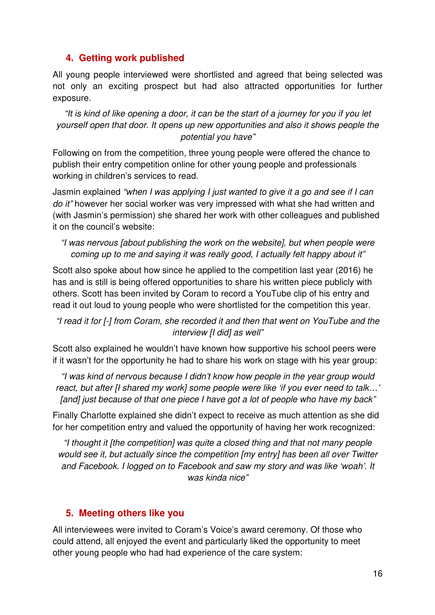#### **4. Getting work published**

All young people interviewed were shortlisted and agreed that being selected was not only an exciting prospect but had also attracted opportunities for further exposure.

*"It is kind of like opening a door, it can be the start of a journey for you if you let yourself open that door. It opens up new opportunities and also it shows people the potential you have"* 

Following on from the competition, three young people were offered the chance to publish their entry competition online for other young people and professionals working in children's services to read.

Jasmin explained *"when I was applying I just wanted to give it a go and see if I can do it"* however her social worker was very impressed with what she had written and (with Jasmin's permission) she shared her work with other colleagues and published it on the council's website:

#### *"I was nervous [about publishing the work on the website], but when people were coming up to me and saying it was really good, I actually felt happy about it"*

Scott also spoke about how since he applied to the competition last year (2016) he has and is still is being offered opportunities to share his written piece publicly with others. Scott has been invited by Coram to record a YouTube clip of his entry and read it out loud to young people who were shortlisted for the competition this year.

#### *"I read it for [-] from Coram, she recorded it and then that went on YouTube and the interview [I did] as well"*

Scott also explained he wouldn't have known how supportive his school peers were if it wasn't for the opportunity he had to share his work on stage with his year group:

*"I was kind of nervous because I didn't know how people in the year group would react, but after [I shared my work] some people were like 'if you ever need to talk…' [and] just because of that one piece I have got a lot of people who have my back"* 

Finally Charlotte explained she didn't expect to receive as much attention as she did for her competition entry and valued the opportunity of having her work recognized:

*"I thought it [the competition] was quite a closed thing and that not many people would see it, but actually since the competition [my entry] has been all over Twitter and Facebook. I logged on to Facebook and saw my story and was like 'woah'. It was kinda nice"* 

### **5. Meeting others like you**

All interviewees were invited to Coram's Voice's award ceremony. Of those who could attend, all enjoyed the event and particularly liked the opportunity to meet other young people who had had experience of the care system: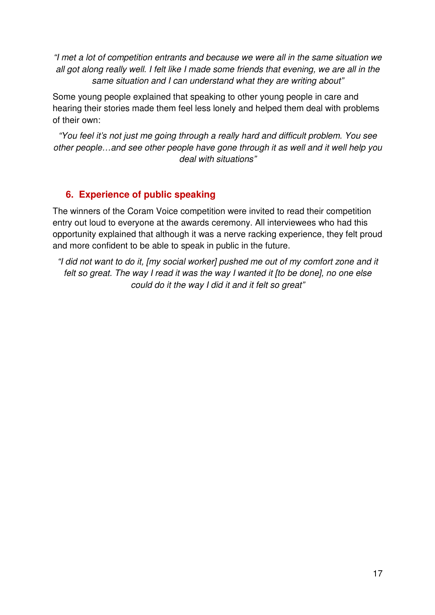*"I met a lot of competition entrants and because we were all in the same situation we all got along really well. I felt like I made some friends that evening, we are all in the same situation and I can understand what they are writing about"* 

Some young people explained that speaking to other young people in care and hearing their stories made them feel less lonely and helped them deal with problems of their own:

*"You feel it's not just me going through a really hard and difficult problem. You see other people…and see other people have gone through it as well and it well help you deal with situations"* 

# **6. Experience of public speaking**

The winners of the Coram Voice competition were invited to read their competition entry out loud to everyone at the awards ceremony. All interviewees who had this opportunity explained that although it was a nerve racking experience, they felt proud and more confident to be able to speak in public in the future.

*"I did not want to do it, [my social worker] pushed me out of my comfort zone and it felt so great. The way I read it was the way I wanted it [to be done], no one else could do it the way I did it and it felt so great"*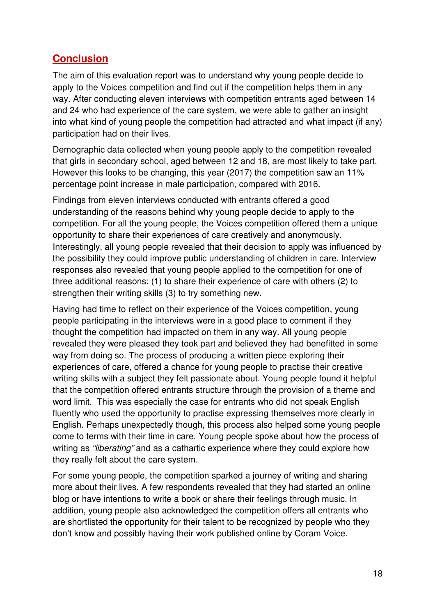# **Conclusion**

The aim of this evaluation report was to understand why young people decide to apply to the Voices competition and find out if the competition helps them in any way. After conducting eleven interviews with competition entrants aged between 14 and 24 who had experience of the care system, we were able to gather an insight into what kind of young people the competition had attracted and what impact (if any) participation had on their lives.

Demographic data collected when young people apply to the competition revealed that girls in secondary school, aged between 12 and 18, are most likely to take part. However this looks to be changing, this year (2017) the competition saw an 11% percentage point increase in male participation, compared with 2016.

Findings from eleven interviews conducted with entrants offered a good understanding of the reasons behind why young people decide to apply to the competition. For all the young people, the Voices competition offered them a unique opportunity to share their experiences of care creatively and anonymously. Interestingly, all young people revealed that their decision to apply was influenced by the possibility they could improve public understanding of children in care. Interview responses also revealed that young people applied to the competition for one of three additional reasons: (1) to share their experience of care with others (2) to strengthen their writing skills (3) to try something new.

Having had time to reflect on their experience of the Voices competition, young people participating in the interviews were in a good place to comment if they thought the competition had impacted on them in any way. All young people revealed they were pleased they took part and believed they had benefitted in some way from doing so. The process of producing a written piece exploring their experiences of care, offered a chance for young people to practise their creative writing skills with a subject they felt passionate about. Young people found it helpful that the competition offered entrants structure through the provision of a theme and word limit. This was especially the case for entrants who did not speak English fluently who used the opportunity to practise expressing themselves more clearly in English. Perhaps unexpectedly though, this process also helped some young people come to terms with their time in care. Young people spoke about how the process of writing as *"liberating"* and as a cathartic experience where they could explore how they really felt about the care system.

For some young people, the competition sparked a journey of writing and sharing more about their lives. A few respondents revealed that they had started an online blog or have intentions to write a book or share their feelings through music. In addition, young people also acknowledged the competition offers all entrants who are shortlisted the opportunity for their talent to be recognized by people who they don't know and possibly having their work published online by Coram Voice.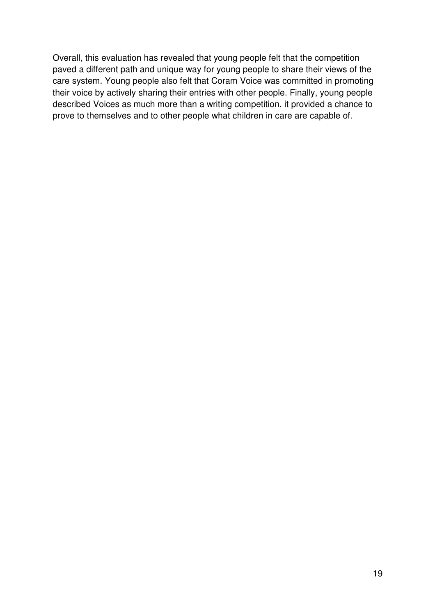Overall, this evaluation has revealed that young people felt that the competition paved a different path and unique way for young people to share their views of the care system. Young people also felt that Coram Voice was committed in promoting their voice by actively sharing their entries with other people. Finally, young people described Voices as much more than a writing competition, it provided a chance to prove to themselves and to other people what children in care are capable of.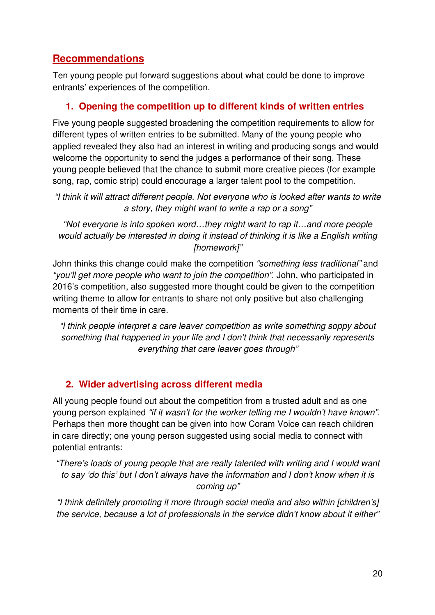# **Recommendations**

Ten young people put forward suggestions about what could be done to improve entrants' experiences of the competition.

### **1. Opening the competition up to different kinds of written entries**

Five young people suggested broadening the competition requirements to allow for different types of written entries to be submitted. Many of the young people who applied revealed they also had an interest in writing and producing songs and would welcome the opportunity to send the judges a performance of their song. These young people believed that the chance to submit more creative pieces (for example song, rap, comic strip) could encourage a larger talent pool to the competition.

*"I think it will attract different people. Not everyone who is looked after wants to write a story, they might want to write a rap or a song"* 

*"Not everyone is into spoken word…they might want to rap it…and more people would actually be interested in doing it instead of thinking it is like a English writing [homework]"* 

John thinks this change could make the competition *"something less traditional"* and *"you'll get more people who want to join the competition"*. John, who participated in 2016's competition, also suggested more thought could be given to the competition writing theme to allow for entrants to share not only positive but also challenging moments of their time in care.

*"I think people interpret a care leaver competition as write something soppy about something that happened in your life and I don't think that necessarily represents everything that care leaver goes through"* 

# **2. Wider advertising across different media**

All young people found out about the competition from a trusted adult and as one young person explained *"if it wasn't for the worker telling me I wouldn't have known"*. Perhaps then more thought can be given into how Coram Voice can reach children in care directly; one young person suggested using social media to connect with potential entrants:

*"There's loads of young people that are really talented with writing and I would want to say 'do this' but I don't always have the information and I don't know when it is coming up"* 

*"I think definitely promoting it more through social media and also within [children's] the service, because a lot of professionals in the service didn't know about it either"*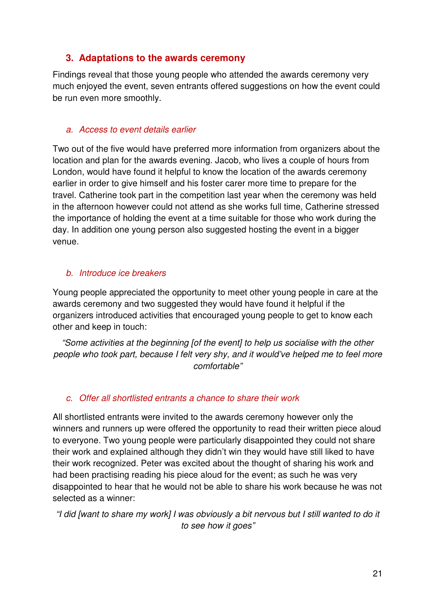### **3. Adaptations to the awards ceremony**

Findings reveal that those young people who attended the awards ceremony very much enjoyed the event, seven entrants offered suggestions on how the event could be run even more smoothly.

#### *a. Access to event details earlier*

Two out of the five would have preferred more information from organizers about the location and plan for the awards evening. Jacob, who lives a couple of hours from London, would have found it helpful to know the location of the awards ceremony earlier in order to give himself and his foster carer more time to prepare for the travel. Catherine took part in the competition last year when the ceremony was held in the afternoon however could not attend as she works full time, Catherine stressed the importance of holding the event at a time suitable for those who work during the day. In addition one young person also suggested hosting the event in a bigger venue.

#### *b. Introduce ice breakers*

Young people appreciated the opportunity to meet other young people in care at the awards ceremony and two suggested they would have found it helpful if the organizers introduced activities that encouraged young people to get to know each other and keep in touch:

*"Some activities at the beginning [of the event] to help us socialise with the other people who took part, because I felt very shy, and it would've helped me to feel more comfortable"* 

#### *c. Offer all shortlisted entrants a chance to share their work*

All shortlisted entrants were invited to the awards ceremony however only the winners and runners up were offered the opportunity to read their written piece aloud to everyone. Two young people were particularly disappointed they could not share their work and explained although they didn't win they would have still liked to have their work recognized. Peter was excited about the thought of sharing his work and had been practising reading his piece aloud for the event; as such he was very disappointed to hear that he would not be able to share his work because he was not selected as a winner:

*"I did [want to share my work] I was obviously a bit nervous but I still wanted to do it to see how it goes"*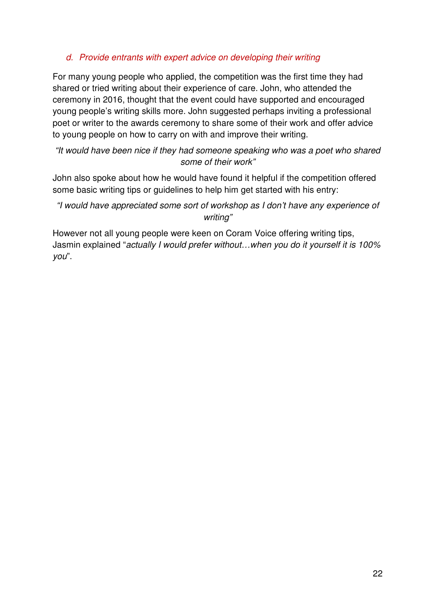#### *d. Provide entrants with expert advice on developing their writing*

For many young people who applied, the competition was the first time they had shared or tried writing about their experience of care. John, who attended the ceremony in 2016, thought that the event could have supported and encouraged young people's writing skills more. John suggested perhaps inviting a professional poet or writer to the awards ceremony to share some of their work and offer advice to young people on how to carry on with and improve their writing.

#### *"It would have been nice if they had someone speaking who was a poet who shared some of their work"*

John also spoke about how he would have found it helpful if the competition offered some basic writing tips or guidelines to help him get started with his entry:

#### *"I would have appreciated some sort of workshop as I don't have any experience of writing"*

However not all young people were keen on Coram Voice offering writing tips, Jasmin explained "*actually I would prefer without…when you do it yourself it is 100% you*".